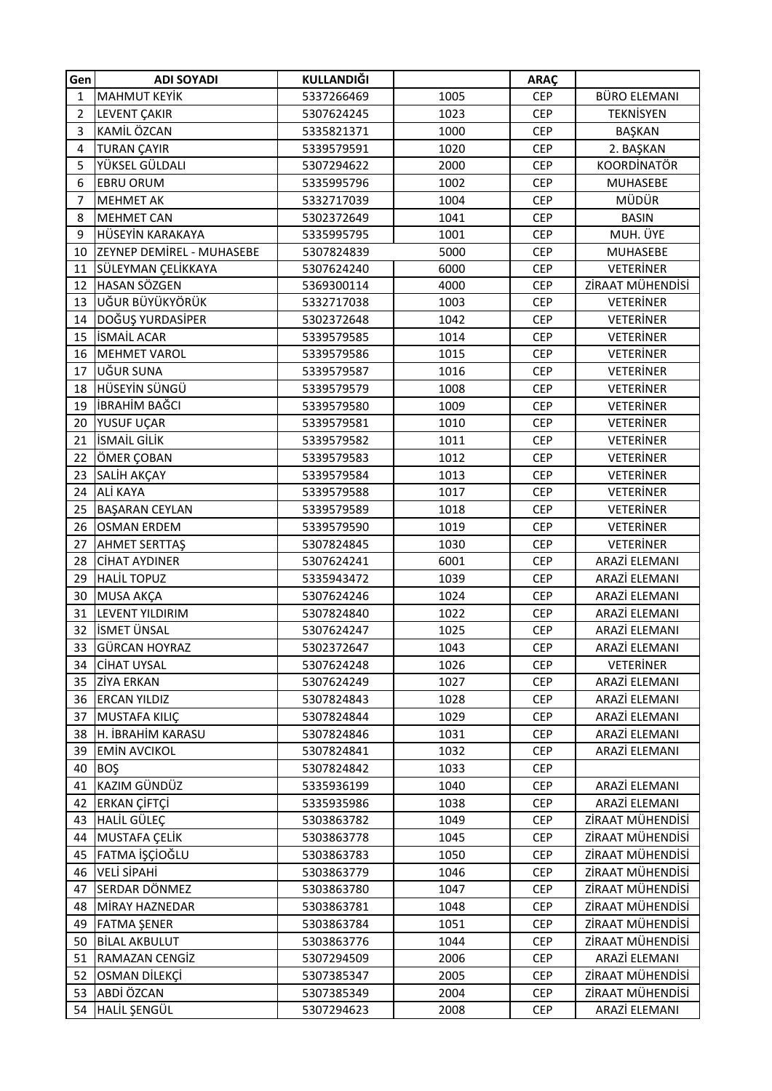| <b>MAHMUT KEYİK</b><br>5337266469<br>1005<br><b>CEP</b><br><b>BÜRO ELEMANI</b><br>$\mathbf{1}$<br>1023<br><b>TEKNİSYEN</b><br>$\overline{2}$<br>LEVENT ÇAKIR<br>5307624245<br><b>CEP</b><br>KAMİL ÖZCAN<br>3<br>5335821371<br>1000<br><b>CEP</b><br>BAŞKAN<br><b>TURAN ÇAYIR</b><br>1020<br>4<br>5339579591<br><b>CEP</b><br>2. BAŞKAN<br>YÜKSEL GÜLDALI<br><b>KOORDİNATÖR</b><br>5<br>5307294622<br>2000<br><b>CEP</b><br><b>EBRU ORUM</b><br>5335995796<br>1002<br><b>CEP</b><br><b>MUHASEBE</b><br>6<br>MÜDÜR<br><b>MEHMET AK</b><br>5332717039<br>1004<br><b>CEP</b><br>7<br><b>MEHMET CAN</b><br>5302372649<br>1041<br><b>BASIN</b><br>8<br><b>CEP</b><br>MUH. ÜYE<br>HÜSEYİN KARAKAYA<br>5335995795<br>1001<br>9<br><b>CEP</b><br><b>ZEYNEP DEMIREL - MUHASEBE</b><br>5307824839<br>5000<br><b>MUHASEBE</b><br>10<br><b>CEP</b><br><b>VETERINER</b><br>SÜLEYMAN ÇELİKKAYA<br>5307624240<br>6000<br><b>CEP</b><br>11<br>HASAN SÖZGEN<br>ZİRAAT MÜHENDİSİ<br>12<br>5369300114<br>4000<br><b>CEP</b><br>UĞUR BÜYÜKYÖRÜK<br><b>VETERINER</b><br>1003<br>13<br>5332717038<br><b>CEP</b><br>DOĞUŞ YURDASİPER<br><b>VETERINER</b><br>14<br>1042<br>5302372648<br><b>CEP</b><br><b>İSMAİL ACAR</b><br>15<br><b>VETERINER</b><br>5339579585<br>1014<br><b>CEP</b><br><b>MEHMET VAROL</b><br><b>VETERINER</b><br>16<br>5339579586<br>1015<br><b>CEP</b><br>UĞUR SUNA<br>1016<br><b>VETERINER</b><br>17<br>5339579587<br><b>CEP</b><br>HÜSEYİN SÜNGÜ<br><b>VETERINER</b><br>18<br>1008<br>5339579579<br><b>CEP</b><br><b>İBRAHİM BAĞCI</b><br>19<br>1009<br><b>VETERINER</b><br>5339579580<br><b>CEP</b><br>YUSUF UÇAR<br>5339579581<br>1010<br><b>VETERINER</b><br>20<br><b>CEP</b><br><b>İSMAİL GİLİK</b><br><b>VETERINER</b><br>1011<br>21<br>5339579582<br><b>CEP</b><br>ÖMER ÇOBAN<br><b>VETERINER</b><br>22<br>1012<br><b>CEP</b><br>5339579583<br>SALİH AKÇAY<br><b>VETERINER</b><br>23<br>1013<br><b>CEP</b><br>5339579584<br>ALİ KAYA<br><b>VETERINER</b><br>5339579588<br>1017<br><b>CEP</b><br>24<br><b>VETERINER</b><br>25<br><b>BAŞARAN CEYLAN</b><br>5339579589<br>1018<br><b>CEP</b><br>26<br><b>VETERINER</b><br><b>OSMAN ERDEM</b><br>5339579590<br>1019<br><b>CEP</b><br><b>VETERINER</b><br><b>AHMET SERTTAŞ</b><br>1030<br>27<br>5307824845<br><b>CEP</b><br><b>CİHAT AYDINER</b><br>6001<br>ARAZİ ELEMANI<br>28<br>5307624241<br><b>CEP</b><br>29<br><b>HALIL TOPUZ</b><br>5335943472<br>1039<br>ARAZİ ELEMANI<br><b>CEP</b><br>MUSA AKÇA<br>1024<br>ARAZİ ELEMANI<br>30<br>5307624246<br><b>CEP</b><br>31<br>LEVENT YILDIRIM<br>1022<br>ARAZİ ELEMANI<br>5307824840<br><b>CEP</b> |
|----------------------------------------------------------------------------------------------------------------------------------------------------------------------------------------------------------------------------------------------------------------------------------------------------------------------------------------------------------------------------------------------------------------------------------------------------------------------------------------------------------------------------------------------------------------------------------------------------------------------------------------------------------------------------------------------------------------------------------------------------------------------------------------------------------------------------------------------------------------------------------------------------------------------------------------------------------------------------------------------------------------------------------------------------------------------------------------------------------------------------------------------------------------------------------------------------------------------------------------------------------------------------------------------------------------------------------------------------------------------------------------------------------------------------------------------------------------------------------------------------------------------------------------------------------------------------------------------------------------------------------------------------------------------------------------------------------------------------------------------------------------------------------------------------------------------------------------------------------------------------------------------------------------------------------------------------------------------------------------------------------------------------------------------------------------------------------------------------------------------------------------------------------------------------------------------------------------------------------------------------------------------------------------------------------------------------------------------------------------------------------------------------------------------------------------------------------------------------------------------------------------------------------------------------------------------------------------------------|
|                                                                                                                                                                                                                                                                                                                                                                                                                                                                                                                                                                                                                                                                                                                                                                                                                                                                                                                                                                                                                                                                                                                                                                                                                                                                                                                                                                                                                                                                                                                                                                                                                                                                                                                                                                                                                                                                                                                                                                                                                                                                                                                                                                                                                                                                                                                                                                                                                                                                                                                                                                                                    |
|                                                                                                                                                                                                                                                                                                                                                                                                                                                                                                                                                                                                                                                                                                                                                                                                                                                                                                                                                                                                                                                                                                                                                                                                                                                                                                                                                                                                                                                                                                                                                                                                                                                                                                                                                                                                                                                                                                                                                                                                                                                                                                                                                                                                                                                                                                                                                                                                                                                                                                                                                                                                    |
|                                                                                                                                                                                                                                                                                                                                                                                                                                                                                                                                                                                                                                                                                                                                                                                                                                                                                                                                                                                                                                                                                                                                                                                                                                                                                                                                                                                                                                                                                                                                                                                                                                                                                                                                                                                                                                                                                                                                                                                                                                                                                                                                                                                                                                                                                                                                                                                                                                                                                                                                                                                                    |
|                                                                                                                                                                                                                                                                                                                                                                                                                                                                                                                                                                                                                                                                                                                                                                                                                                                                                                                                                                                                                                                                                                                                                                                                                                                                                                                                                                                                                                                                                                                                                                                                                                                                                                                                                                                                                                                                                                                                                                                                                                                                                                                                                                                                                                                                                                                                                                                                                                                                                                                                                                                                    |
|                                                                                                                                                                                                                                                                                                                                                                                                                                                                                                                                                                                                                                                                                                                                                                                                                                                                                                                                                                                                                                                                                                                                                                                                                                                                                                                                                                                                                                                                                                                                                                                                                                                                                                                                                                                                                                                                                                                                                                                                                                                                                                                                                                                                                                                                                                                                                                                                                                                                                                                                                                                                    |
|                                                                                                                                                                                                                                                                                                                                                                                                                                                                                                                                                                                                                                                                                                                                                                                                                                                                                                                                                                                                                                                                                                                                                                                                                                                                                                                                                                                                                                                                                                                                                                                                                                                                                                                                                                                                                                                                                                                                                                                                                                                                                                                                                                                                                                                                                                                                                                                                                                                                                                                                                                                                    |
|                                                                                                                                                                                                                                                                                                                                                                                                                                                                                                                                                                                                                                                                                                                                                                                                                                                                                                                                                                                                                                                                                                                                                                                                                                                                                                                                                                                                                                                                                                                                                                                                                                                                                                                                                                                                                                                                                                                                                                                                                                                                                                                                                                                                                                                                                                                                                                                                                                                                                                                                                                                                    |
|                                                                                                                                                                                                                                                                                                                                                                                                                                                                                                                                                                                                                                                                                                                                                                                                                                                                                                                                                                                                                                                                                                                                                                                                                                                                                                                                                                                                                                                                                                                                                                                                                                                                                                                                                                                                                                                                                                                                                                                                                                                                                                                                                                                                                                                                                                                                                                                                                                                                                                                                                                                                    |
|                                                                                                                                                                                                                                                                                                                                                                                                                                                                                                                                                                                                                                                                                                                                                                                                                                                                                                                                                                                                                                                                                                                                                                                                                                                                                                                                                                                                                                                                                                                                                                                                                                                                                                                                                                                                                                                                                                                                                                                                                                                                                                                                                                                                                                                                                                                                                                                                                                                                                                                                                                                                    |
|                                                                                                                                                                                                                                                                                                                                                                                                                                                                                                                                                                                                                                                                                                                                                                                                                                                                                                                                                                                                                                                                                                                                                                                                                                                                                                                                                                                                                                                                                                                                                                                                                                                                                                                                                                                                                                                                                                                                                                                                                                                                                                                                                                                                                                                                                                                                                                                                                                                                                                                                                                                                    |
|                                                                                                                                                                                                                                                                                                                                                                                                                                                                                                                                                                                                                                                                                                                                                                                                                                                                                                                                                                                                                                                                                                                                                                                                                                                                                                                                                                                                                                                                                                                                                                                                                                                                                                                                                                                                                                                                                                                                                                                                                                                                                                                                                                                                                                                                                                                                                                                                                                                                                                                                                                                                    |
|                                                                                                                                                                                                                                                                                                                                                                                                                                                                                                                                                                                                                                                                                                                                                                                                                                                                                                                                                                                                                                                                                                                                                                                                                                                                                                                                                                                                                                                                                                                                                                                                                                                                                                                                                                                                                                                                                                                                                                                                                                                                                                                                                                                                                                                                                                                                                                                                                                                                                                                                                                                                    |
|                                                                                                                                                                                                                                                                                                                                                                                                                                                                                                                                                                                                                                                                                                                                                                                                                                                                                                                                                                                                                                                                                                                                                                                                                                                                                                                                                                                                                                                                                                                                                                                                                                                                                                                                                                                                                                                                                                                                                                                                                                                                                                                                                                                                                                                                                                                                                                                                                                                                                                                                                                                                    |
|                                                                                                                                                                                                                                                                                                                                                                                                                                                                                                                                                                                                                                                                                                                                                                                                                                                                                                                                                                                                                                                                                                                                                                                                                                                                                                                                                                                                                                                                                                                                                                                                                                                                                                                                                                                                                                                                                                                                                                                                                                                                                                                                                                                                                                                                                                                                                                                                                                                                                                                                                                                                    |
|                                                                                                                                                                                                                                                                                                                                                                                                                                                                                                                                                                                                                                                                                                                                                                                                                                                                                                                                                                                                                                                                                                                                                                                                                                                                                                                                                                                                                                                                                                                                                                                                                                                                                                                                                                                                                                                                                                                                                                                                                                                                                                                                                                                                                                                                                                                                                                                                                                                                                                                                                                                                    |
|                                                                                                                                                                                                                                                                                                                                                                                                                                                                                                                                                                                                                                                                                                                                                                                                                                                                                                                                                                                                                                                                                                                                                                                                                                                                                                                                                                                                                                                                                                                                                                                                                                                                                                                                                                                                                                                                                                                                                                                                                                                                                                                                                                                                                                                                                                                                                                                                                                                                                                                                                                                                    |
|                                                                                                                                                                                                                                                                                                                                                                                                                                                                                                                                                                                                                                                                                                                                                                                                                                                                                                                                                                                                                                                                                                                                                                                                                                                                                                                                                                                                                                                                                                                                                                                                                                                                                                                                                                                                                                                                                                                                                                                                                                                                                                                                                                                                                                                                                                                                                                                                                                                                                                                                                                                                    |
|                                                                                                                                                                                                                                                                                                                                                                                                                                                                                                                                                                                                                                                                                                                                                                                                                                                                                                                                                                                                                                                                                                                                                                                                                                                                                                                                                                                                                                                                                                                                                                                                                                                                                                                                                                                                                                                                                                                                                                                                                                                                                                                                                                                                                                                                                                                                                                                                                                                                                                                                                                                                    |
|                                                                                                                                                                                                                                                                                                                                                                                                                                                                                                                                                                                                                                                                                                                                                                                                                                                                                                                                                                                                                                                                                                                                                                                                                                                                                                                                                                                                                                                                                                                                                                                                                                                                                                                                                                                                                                                                                                                                                                                                                                                                                                                                                                                                                                                                                                                                                                                                                                                                                                                                                                                                    |
|                                                                                                                                                                                                                                                                                                                                                                                                                                                                                                                                                                                                                                                                                                                                                                                                                                                                                                                                                                                                                                                                                                                                                                                                                                                                                                                                                                                                                                                                                                                                                                                                                                                                                                                                                                                                                                                                                                                                                                                                                                                                                                                                                                                                                                                                                                                                                                                                                                                                                                                                                                                                    |
|                                                                                                                                                                                                                                                                                                                                                                                                                                                                                                                                                                                                                                                                                                                                                                                                                                                                                                                                                                                                                                                                                                                                                                                                                                                                                                                                                                                                                                                                                                                                                                                                                                                                                                                                                                                                                                                                                                                                                                                                                                                                                                                                                                                                                                                                                                                                                                                                                                                                                                                                                                                                    |
|                                                                                                                                                                                                                                                                                                                                                                                                                                                                                                                                                                                                                                                                                                                                                                                                                                                                                                                                                                                                                                                                                                                                                                                                                                                                                                                                                                                                                                                                                                                                                                                                                                                                                                                                                                                                                                                                                                                                                                                                                                                                                                                                                                                                                                                                                                                                                                                                                                                                                                                                                                                                    |
|                                                                                                                                                                                                                                                                                                                                                                                                                                                                                                                                                                                                                                                                                                                                                                                                                                                                                                                                                                                                                                                                                                                                                                                                                                                                                                                                                                                                                                                                                                                                                                                                                                                                                                                                                                                                                                                                                                                                                                                                                                                                                                                                                                                                                                                                                                                                                                                                                                                                                                                                                                                                    |
|                                                                                                                                                                                                                                                                                                                                                                                                                                                                                                                                                                                                                                                                                                                                                                                                                                                                                                                                                                                                                                                                                                                                                                                                                                                                                                                                                                                                                                                                                                                                                                                                                                                                                                                                                                                                                                                                                                                                                                                                                                                                                                                                                                                                                                                                                                                                                                                                                                                                                                                                                                                                    |
|                                                                                                                                                                                                                                                                                                                                                                                                                                                                                                                                                                                                                                                                                                                                                                                                                                                                                                                                                                                                                                                                                                                                                                                                                                                                                                                                                                                                                                                                                                                                                                                                                                                                                                                                                                                                                                                                                                                                                                                                                                                                                                                                                                                                                                                                                                                                                                                                                                                                                                                                                                                                    |
|                                                                                                                                                                                                                                                                                                                                                                                                                                                                                                                                                                                                                                                                                                                                                                                                                                                                                                                                                                                                                                                                                                                                                                                                                                                                                                                                                                                                                                                                                                                                                                                                                                                                                                                                                                                                                                                                                                                                                                                                                                                                                                                                                                                                                                                                                                                                                                                                                                                                                                                                                                                                    |
|                                                                                                                                                                                                                                                                                                                                                                                                                                                                                                                                                                                                                                                                                                                                                                                                                                                                                                                                                                                                                                                                                                                                                                                                                                                                                                                                                                                                                                                                                                                                                                                                                                                                                                                                                                                                                                                                                                                                                                                                                                                                                                                                                                                                                                                                                                                                                                                                                                                                                                                                                                                                    |
|                                                                                                                                                                                                                                                                                                                                                                                                                                                                                                                                                                                                                                                                                                                                                                                                                                                                                                                                                                                                                                                                                                                                                                                                                                                                                                                                                                                                                                                                                                                                                                                                                                                                                                                                                                                                                                                                                                                                                                                                                                                                                                                                                                                                                                                                                                                                                                                                                                                                                                                                                                                                    |
|                                                                                                                                                                                                                                                                                                                                                                                                                                                                                                                                                                                                                                                                                                                                                                                                                                                                                                                                                                                                                                                                                                                                                                                                                                                                                                                                                                                                                                                                                                                                                                                                                                                                                                                                                                                                                                                                                                                                                                                                                                                                                                                                                                                                                                                                                                                                                                                                                                                                                                                                                                                                    |
|                                                                                                                                                                                                                                                                                                                                                                                                                                                                                                                                                                                                                                                                                                                                                                                                                                                                                                                                                                                                                                                                                                                                                                                                                                                                                                                                                                                                                                                                                                                                                                                                                                                                                                                                                                                                                                                                                                                                                                                                                                                                                                                                                                                                                                                                                                                                                                                                                                                                                                                                                                                                    |
|                                                                                                                                                                                                                                                                                                                                                                                                                                                                                                                                                                                                                                                                                                                                                                                                                                                                                                                                                                                                                                                                                                                                                                                                                                                                                                                                                                                                                                                                                                                                                                                                                                                                                                                                                                                                                                                                                                                                                                                                                                                                                                                                                                                                                                                                                                                                                                                                                                                                                                                                                                                                    |
| <b>İSMET ÜNSAL</b><br>ARAZİ ELEMANI<br>32<br>5307624247<br>1025<br><b>CEP</b>                                                                                                                                                                                                                                                                                                                                                                                                                                                                                                                                                                                                                                                                                                                                                                                                                                                                                                                                                                                                                                                                                                                                                                                                                                                                                                                                                                                                                                                                                                                                                                                                                                                                                                                                                                                                                                                                                                                                                                                                                                                                                                                                                                                                                                                                                                                                                                                                                                                                                                                      |
| <b>GÜRCAN HOYRAZ</b><br>33<br>5302372647<br><b>CEP</b><br>ARAZİ ELEMANI<br>1043                                                                                                                                                                                                                                                                                                                                                                                                                                                                                                                                                                                                                                                                                                                                                                                                                                                                                                                                                                                                                                                                                                                                                                                                                                                                                                                                                                                                                                                                                                                                                                                                                                                                                                                                                                                                                                                                                                                                                                                                                                                                                                                                                                                                                                                                                                                                                                                                                                                                                                                    |
| <b>VETERINER</b><br><b>CİHAT UYSAL</b><br>5307624248<br>1026<br><b>CEP</b><br>34                                                                                                                                                                                                                                                                                                                                                                                                                                                                                                                                                                                                                                                                                                                                                                                                                                                                                                                                                                                                                                                                                                                                                                                                                                                                                                                                                                                                                                                                                                                                                                                                                                                                                                                                                                                                                                                                                                                                                                                                                                                                                                                                                                                                                                                                                                                                                                                                                                                                                                                   |
| 35<br><b>ZİYA ERKAN</b><br>1027<br><b>CEP</b><br>ARAZİ ELEMANI<br>5307624249                                                                                                                                                                                                                                                                                                                                                                                                                                                                                                                                                                                                                                                                                                                                                                                                                                                                                                                                                                                                                                                                                                                                                                                                                                                                                                                                                                                                                                                                                                                                                                                                                                                                                                                                                                                                                                                                                                                                                                                                                                                                                                                                                                                                                                                                                                                                                                                                                                                                                                                       |
| <b>ERCAN YILDIZ</b><br>5307824843<br>1028<br><b>CEP</b><br>ARAZİ ELEMANI<br>36                                                                                                                                                                                                                                                                                                                                                                                                                                                                                                                                                                                                                                                                                                                                                                                                                                                                                                                                                                                                                                                                                                                                                                                                                                                                                                                                                                                                                                                                                                                                                                                                                                                                                                                                                                                                                                                                                                                                                                                                                                                                                                                                                                                                                                                                                                                                                                                                                                                                                                                     |
| ARAZİ ELEMANI<br><b>MUSTAFA KILIC</b><br>5307824844<br>1029<br><b>CEP</b><br>37                                                                                                                                                                                                                                                                                                                                                                                                                                                                                                                                                                                                                                                                                                                                                                                                                                                                                                                                                                                                                                                                                                                                                                                                                                                                                                                                                                                                                                                                                                                                                                                                                                                                                                                                                                                                                                                                                                                                                                                                                                                                                                                                                                                                                                                                                                                                                                                                                                                                                                                    |
| H. İBRAHİM KARASU<br>5307824846<br>1031<br><b>CEP</b><br>ARAZİ ELEMANI<br>38                                                                                                                                                                                                                                                                                                                                                                                                                                                                                                                                                                                                                                                                                                                                                                                                                                                                                                                                                                                                                                                                                                                                                                                                                                                                                                                                                                                                                                                                                                                                                                                                                                                                                                                                                                                                                                                                                                                                                                                                                                                                                                                                                                                                                                                                                                                                                                                                                                                                                                                       |
| <b>EMIN AVCIKOL</b><br>1032<br><b>CEP</b><br>ARAZİ ELEMANI<br>39<br>5307824841                                                                                                                                                                                                                                                                                                                                                                                                                                                                                                                                                                                                                                                                                                                                                                                                                                                                                                                                                                                                                                                                                                                                                                                                                                                                                                                                                                                                                                                                                                                                                                                                                                                                                                                                                                                                                                                                                                                                                                                                                                                                                                                                                                                                                                                                                                                                                                                                                                                                                                                     |
| <b>BOŞ</b><br><b>CEP</b><br>40<br>1033<br>5307824842                                                                                                                                                                                                                                                                                                                                                                                                                                                                                                                                                                                                                                                                                                                                                                                                                                                                                                                                                                                                                                                                                                                                                                                                                                                                                                                                                                                                                                                                                                                                                                                                                                                                                                                                                                                                                                                                                                                                                                                                                                                                                                                                                                                                                                                                                                                                                                                                                                                                                                                                               |
| KAZIM GÜNDÜZ<br>ARAZİ ELEMANI<br>1040<br>41<br>5335936199<br><b>CEP</b>                                                                                                                                                                                                                                                                                                                                                                                                                                                                                                                                                                                                                                                                                                                                                                                                                                                                                                                                                                                                                                                                                                                                                                                                                                                                                                                                                                                                                                                                                                                                                                                                                                                                                                                                                                                                                                                                                                                                                                                                                                                                                                                                                                                                                                                                                                                                                                                                                                                                                                                            |
| <b>ERKAN ÇİFTÇİ</b><br>ARAZİ ELEMANI<br>42<br>5335935986<br>1038<br><b>CEP</b>                                                                                                                                                                                                                                                                                                                                                                                                                                                                                                                                                                                                                                                                                                                                                                                                                                                                                                                                                                                                                                                                                                                                                                                                                                                                                                                                                                                                                                                                                                                                                                                                                                                                                                                                                                                                                                                                                                                                                                                                                                                                                                                                                                                                                                                                                                                                                                                                                                                                                                                     |
| <b>HALIL GÜLEÇ</b><br>ZİRAAT MÜHENDİSİ<br>43<br>5303863782<br>1049<br><b>CEP</b>                                                                                                                                                                                                                                                                                                                                                                                                                                                                                                                                                                                                                                                                                                                                                                                                                                                                                                                                                                                                                                                                                                                                                                                                                                                                                                                                                                                                                                                                                                                                                                                                                                                                                                                                                                                                                                                                                                                                                                                                                                                                                                                                                                                                                                                                                                                                                                                                                                                                                                                   |
| <b>MUSTAFA ÇELİK</b><br>ZİRAAT MÜHENDİSİ<br>44<br>5303863778<br>1045<br><b>CEP</b>                                                                                                                                                                                                                                                                                                                                                                                                                                                                                                                                                                                                                                                                                                                                                                                                                                                                                                                                                                                                                                                                                                                                                                                                                                                                                                                                                                                                                                                                                                                                                                                                                                                                                                                                                                                                                                                                                                                                                                                                                                                                                                                                                                                                                                                                                                                                                                                                                                                                                                                 |
| FATMA İŞÇİOĞLU<br>ZİRAAT MÜHENDİSİ<br>45<br>1050<br><b>CEP</b><br>5303863783                                                                                                                                                                                                                                                                                                                                                                                                                                                                                                                                                                                                                                                                                                                                                                                                                                                                                                                                                                                                                                                                                                                                                                                                                                                                                                                                                                                                                                                                                                                                                                                                                                                                                                                                                                                                                                                                                                                                                                                                                                                                                                                                                                                                                                                                                                                                                                                                                                                                                                                       |
| VELİ SİPAHİ<br>ZİRAAT MÜHENDİSİ<br>46<br>5303863779<br>1046<br><b>CEP</b>                                                                                                                                                                                                                                                                                                                                                                                                                                                                                                                                                                                                                                                                                                                                                                                                                                                                                                                                                                                                                                                                                                                                                                                                                                                                                                                                                                                                                                                                                                                                                                                                                                                                                                                                                                                                                                                                                                                                                                                                                                                                                                                                                                                                                                                                                                                                                                                                                                                                                                                          |
| ZİRAAT MÜHENDİSİ<br>SERDAR DÖNMEZ<br>5303863780<br>1047<br><b>CEP</b><br>47                                                                                                                                                                                                                                                                                                                                                                                                                                                                                                                                                                                                                                                                                                                                                                                                                                                                                                                                                                                                                                                                                                                                                                                                                                                                                                                                                                                                                                                                                                                                                                                                                                                                                                                                                                                                                                                                                                                                                                                                                                                                                                                                                                                                                                                                                                                                                                                                                                                                                                                        |
| ZİRAAT MÜHENDİSİ<br>48<br>MİRAY HAZNEDAR<br><b>CEP</b><br>5303863781<br>1048                                                                                                                                                                                                                                                                                                                                                                                                                                                                                                                                                                                                                                                                                                                                                                                                                                                                                                                                                                                                                                                                                                                                                                                                                                                                                                                                                                                                                                                                                                                                                                                                                                                                                                                                                                                                                                                                                                                                                                                                                                                                                                                                                                                                                                                                                                                                                                                                                                                                                                                       |
| ZİRAAT MÜHENDİSİ<br>49<br><b>FATMA ŞENER</b><br>5303863784<br>1051<br><b>CEP</b>                                                                                                                                                                                                                                                                                                                                                                                                                                                                                                                                                                                                                                                                                                                                                                                                                                                                                                                                                                                                                                                                                                                                                                                                                                                                                                                                                                                                                                                                                                                                                                                                                                                                                                                                                                                                                                                                                                                                                                                                                                                                                                                                                                                                                                                                                                                                                                                                                                                                                                                   |
| ZİRAAT MÜHENDİSİ<br><b>BİLAL AKBULUT</b><br>1044<br>5303863776<br><b>CEP</b><br>50                                                                                                                                                                                                                                                                                                                                                                                                                                                                                                                                                                                                                                                                                                                                                                                                                                                                                                                                                                                                                                                                                                                                                                                                                                                                                                                                                                                                                                                                                                                                                                                                                                                                                                                                                                                                                                                                                                                                                                                                                                                                                                                                                                                                                                                                                                                                                                                                                                                                                                                 |
| ARAZİ ELEMANI<br>RAMAZAN CENGIZ<br>2006<br><b>CEP</b><br>51<br>5307294509                                                                                                                                                                                                                                                                                                                                                                                                                                                                                                                                                                                                                                                                                                                                                                                                                                                                                                                                                                                                                                                                                                                                                                                                                                                                                                                                                                                                                                                                                                                                                                                                                                                                                                                                                                                                                                                                                                                                                                                                                                                                                                                                                                                                                                                                                                                                                                                                                                                                                                                          |
| ZİRAAT MÜHENDİSİ<br>OSMAN DİLEKÇİ<br>52<br>5307385347<br>2005<br><b>CEP</b>                                                                                                                                                                                                                                                                                                                                                                                                                                                                                                                                                                                                                                                                                                                                                                                                                                                                                                                                                                                                                                                                                                                                                                                                                                                                                                                                                                                                                                                                                                                                                                                                                                                                                                                                                                                                                                                                                                                                                                                                                                                                                                                                                                                                                                                                                                                                                                                                                                                                                                                        |
| ZİRAAT MÜHENDİSİ<br>ABDİ ÖZCAN<br>53<br>5307385349<br>2004<br><b>CEP</b>                                                                                                                                                                                                                                                                                                                                                                                                                                                                                                                                                                                                                                                                                                                                                                                                                                                                                                                                                                                                                                                                                                                                                                                                                                                                                                                                                                                                                                                                                                                                                                                                                                                                                                                                                                                                                                                                                                                                                                                                                                                                                                                                                                                                                                                                                                                                                                                                                                                                                                                           |
| HALİL ŞENGÜL<br>54<br>ARAZİ ELEMANI<br>5307294623<br>2008<br><b>CEP</b>                                                                                                                                                                                                                                                                                                                                                                                                                                                                                                                                                                                                                                                                                                                                                                                                                                                                                                                                                                                                                                                                                                                                                                                                                                                                                                                                                                                                                                                                                                                                                                                                                                                                                                                                                                                                                                                                                                                                                                                                                                                                                                                                                                                                                                                                                                                                                                                                                                                                                                                            |